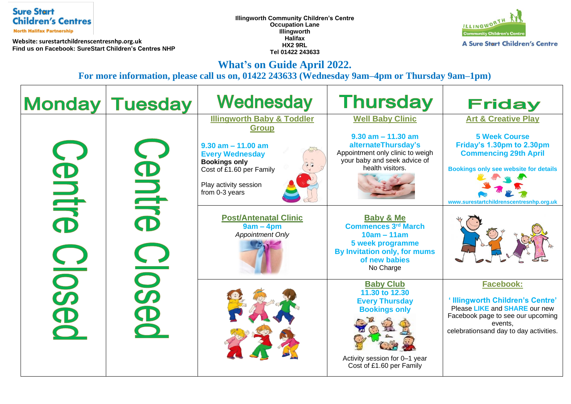## **Sure Start Children's Centres**

**North Halifax Partnership** 

**Website: surestartchildrenscentresnhp.org.uk Find us on Facebook: SureStart Children's Centres NHP**  **Illingworth Community Children's Centre Occupation Lane Illingworth Halifax HX2 9RL Tel 01422 243633**



**What's on Guide April 2022.** 

**For more information, please call us on, 01422 243633 (Wednesday 9am–4pm or Thursday 9am–1pm)**

|                          | <b>Monday Tuesday</b>  | Wednesday                                                                                                                                                                                               | <b>Thursday</b>                                                                                                                                                  | <b>Friday</b>                                                                                                                                                                                                  |
|--------------------------|------------------------|---------------------------------------------------------------------------------------------------------------------------------------------------------------------------------------------------------|------------------------------------------------------------------------------------------------------------------------------------------------------------------|----------------------------------------------------------------------------------------------------------------------------------------------------------------------------------------------------------------|
| BUILG<br>50<br>$\bullet$ | BULLE<br>$\frac{1}{2}$ | <b>Illingworth Baby &amp; Toddler</b><br><b>Group</b><br>$9.30$ am $-11.00$ am<br><b>Every Wednesday</b><br><b>Bookings only</b><br>Cost of £1.60 per Family<br>Play activity session<br>from 0-3 years | <b>Well Baby Clinic</b><br>$9.30$ am $- 11.30$ am<br>alternateThursday's<br>Appointment only clinic to weigh<br>your baby and seek advice of<br>health visitors. | <b>Art &amp; Creative Play</b><br><b>5 Week Course</b><br>Friday's 1.30pm to 2.30pm<br><b>Commencing 29th April</b><br><b>Bookings only see website for details</b><br>www.surestartchildrenscentresnhp.org.uk |
|                          |                        | <b>Post/Antenatal Clinic</b><br>$9am - 4pm$<br><b>Appointment Only</b>                                                                                                                                  | <b>Baby &amp; Me</b><br><b>Commences 3rd March</b><br>$10am - 11am$<br>5 week programme<br>By Invitation only, for mums<br>of new babies<br>No Charge            |                                                                                                                                                                                                                |
|                          |                        |                                                                                                                                                                                                         | <b>Baby Club</b><br>11.30 to 12.30<br><b>Every Thursday</b><br><b>Bookings only</b><br>Activity session for 0-1 year<br>Cost of £1.60 per Family                 | <b>Facebook:</b><br>'Illingworth Children's Centre'<br>Please LIKE and SHARE our new<br>Facebook page to see our upcoming<br>events.<br>celebrationsand day to day activities.                                 |